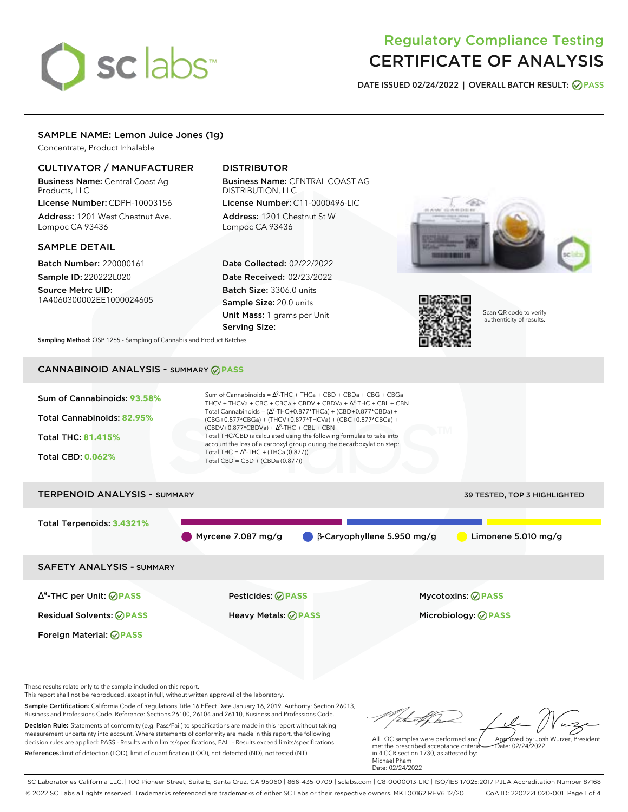# sclabs<sup>\*</sup>

# Regulatory Compliance Testing CERTIFICATE OF ANALYSIS

**DATE ISSUED 02/24/2022 | OVERALL BATCH RESULT: PASS**

# SAMPLE NAME: Lemon Juice Jones (1g)

Concentrate, Product Inhalable

# CULTIVATOR / MANUFACTURER

Business Name: Central Coast Ag Products, LLC

License Number: CDPH-10003156 Address: 1201 West Chestnut Ave. Lompoc CA 93436

# SAMPLE DETAIL

Batch Number: 220000161 Sample ID: 220222L020

Source Metrc UID: 1A4060300002EE1000024605

# DISTRIBUTOR

Business Name: CENTRAL COAST AG DISTRIBUTION, LLC License Number: C11-0000496-LIC

Address: 1201 Chestnut St W Lompoc CA 93436

Date Collected: 02/22/2022 Date Received: 02/23/2022 Batch Size: 3306.0 units Sample Size: 20.0 units Unit Mass: 1 grams per Unit Serving Size:





Scan QR code to verify authenticity of results.

**Sampling Method:** QSP 1265 - Sampling of Cannabis and Product Batches

# CANNABINOID ANALYSIS - SUMMARY **PASS**



These results relate only to the sample included on this report.

This report shall not be reproduced, except in full, without written approval of the laboratory.

Sample Certification: California Code of Regulations Title 16 Effect Date January 16, 2019. Authority: Section 26013, Business and Professions Code. Reference: Sections 26100, 26104 and 26110, Business and Professions Code. Decision Rule: Statements of conformity (e.g. Pass/Fail) to specifications are made in this report without taking measurement uncertainty into account. Where statements of conformity are made in this report, the following decision rules are applied: PASS - Results within limits/specifications, FAIL - Results exceed limits/specifications.

References:limit of detection (LOD), limit of quantification (LOQ), not detected (ND), not tested (NT)

Approved by: Josh Wurzer, President

 $ate: 02/24/2022$ 

All LQC samples were performed and met the prescribed acceptance criteria in 4 CCR section 1730, as attested by: Michael Pham Date: 02/24/2022

SC Laboratories California LLC. | 100 Pioneer Street, Suite E, Santa Cruz, CA 95060 | 866-435-0709 | sclabs.com | C8-0000013-LIC | ISO/IES 17025:2017 PJLA Accreditation Number 87168 © 2022 SC Labs all rights reserved. Trademarks referenced are trademarks of either SC Labs or their respective owners. MKT00162 REV6 12/20 CoA ID: 220222L020-001 Page 1 of 4